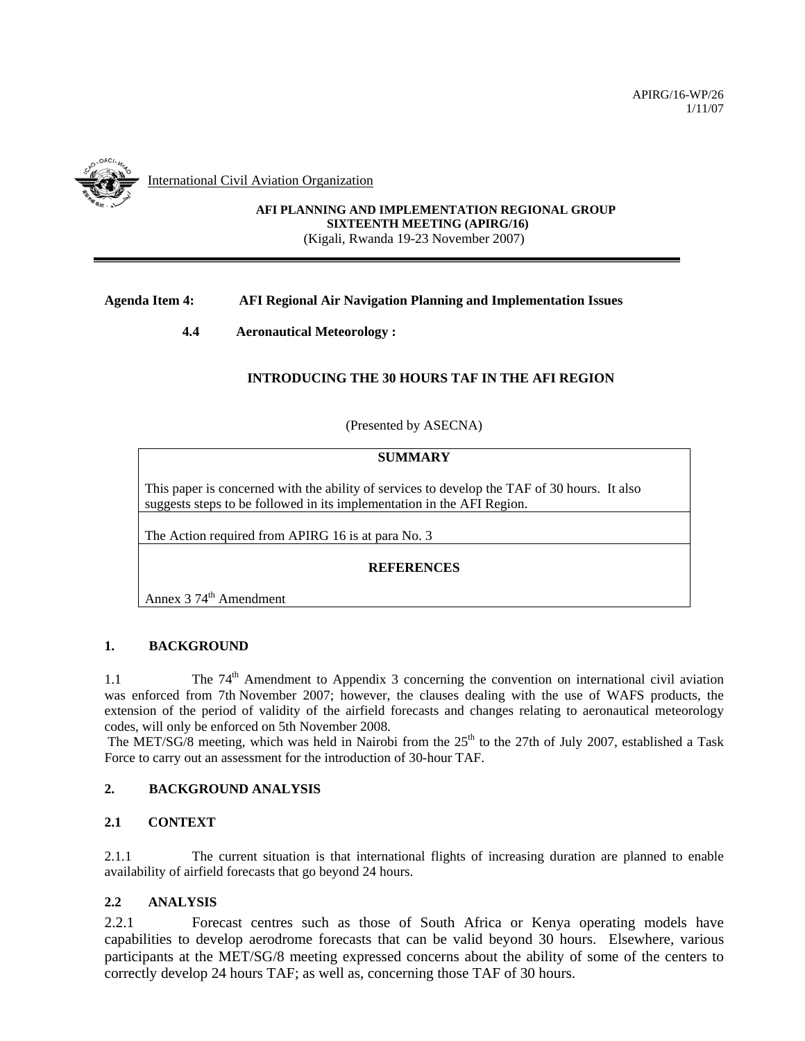

International Civil Aviation Organization

## **AFI PLANNING AND IMPLEMENTATION REGIONAL GROUP SIXTEENTH MEETING (APIRG/16)**  (Kigali, Rwanda 19-23 November 2007)

# **Agenda Item 4: AFI Regional Air Navigation Planning and Implementation Issues**

**4.4 Aeronautical Meteorology :** 

## **INTRODUCING THE 30 HOURS TAF IN THE AFI REGION**

(Presented by ASECNA)

#### **SUMMARY**

This paper is concerned with the ability of services to develop the TAF of 30 hours. It also suggests steps to be followed in its implementation in the AFI Region.

The Action required from APIRG 16 is at para No. 3

## **REFERENCES**

Annex  $374^{\text{th}}$  Amendment

## **1. BACKGROUND**

1.1 The  $74<sup>th</sup>$  Amendment to Appendix 3 concerning the convention on international civil aviation was enforced from 7th November 2007; however, the clauses dealing with the use of WAFS products, the extension of the period of validity of the airfield forecasts and changes relating to aeronautical meteorology codes, will only be enforced on 5th November 2008.

The MET/SG/8 meeting, which was held in Nairobi from the  $25<sup>th</sup>$  to the 27th of July 2007, established a Task Force to carry out an assessment for the introduction of 30-hour TAF.

## **2. BACKGROUND ANALYSIS**

## **2.1 CONTEXT**

2.1.1 The current situation is that international flights of increasing duration are planned to enable availability of airfield forecasts that go beyond 24 hours.

## **2.2 ANALYSIS**

2.2.1 Forecast centres such as those of South Africa or Kenya operating models have capabilities to develop aerodrome forecasts that can be valid beyond 30 hours. Elsewhere, various participants at the MET/SG/8 meeting expressed concerns about the ability of some of the centers to correctly develop 24 hours TAF; as well as, concerning those TAF of 30 hours.